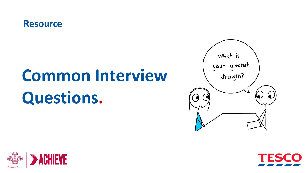### **Resource**

# **Common Interview Questions.**





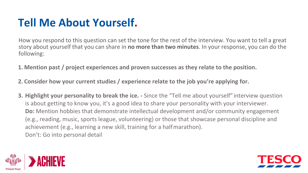### **Tell Me About Yourself.**

How you respond to this question can set the tone for the rest of the interview. You want to tell a great story about yourself that you can share in **no more than two minutes**. In your response, you can do the following:

**1. Mention past / project experiences and proven successes as they relate to the position.**

**2. Consider how your current studies / experience relate to the job you're applying for.**

**3. Highlight your personality to break the ice. -** Since the "Tell me about yourself" interview question is about getting to know you, it's a good idea to share your personality with your interviewer. **Do:** Mention hobbies that demonstrate intellectual development and/or community engagement (e.g., reading, music, sports league, volunteering) or those that showcase personal discipline and achievement (e.g., learning a new skill, training for a halfmarathon). Don't: Go into personal detail



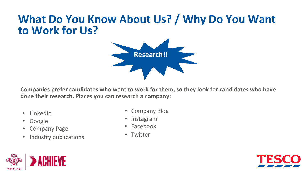### **What Do You Know About Us? / Why Do You Want to Work for Us?**



**Companies prefer candidates who want to work for them, so they look for candidates who have done their research. Places you can research a company:** 

- LinkedIn
- Google
- Company Page
- Industry publications
- Company Blog
- Instagram
- Facebook
- Twitter



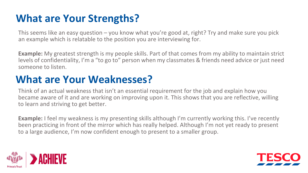### **What are Your Strengths?**

This seems like an easy question – you know what you're good at, right? Try and make sure you pick an example which is relatable to the position you are interviewing for.

**Example:** My greatest strength is my people skills. Part of that comes from my ability to maintain strict levels of confidentiality, I'm a "to go to" person when my classmates & friends need advice or just need someone to listen.

### **What are Your Weaknesses?**

Think of an actual weakness that isn't an essential requirement for the job and explain how you became aware of it and are working on improving upon it. This shows that you are reflective, willing to learn and striving to get better.

**Example:** I feel my weakness is my presenting skills although I'm currently working this. I've recently been practicing in front of the mirror which has really helped. Although I'm not yet ready to present to a large audience, I'm now confident enough to present to a smaller group.



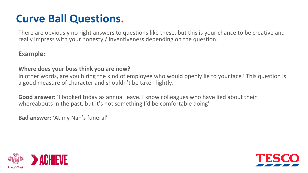### **Curve Ball Questions.**

There are obviously no right answers to questions like these, but this is your chance to be creative and really impress with your honesty / inventiveness depending on the question.

#### **Example:**

#### **Where does your boss think you are now?**

In other words, are you hiring the kind of employee who would openly lie to yourface? This question is a good measure of character and shouldn't be taken lightly.

**Good answer:** 'I booked today as annual leave. I know colleagues who have lied about their whereabouts in the past, but it's not something I'd be comfortable doing'

**Bad answer:** 'At my Nan's funeral'



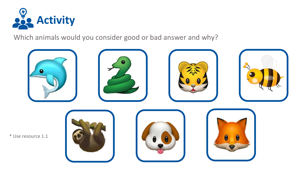

Which animals would you consider good or bad answer and why?

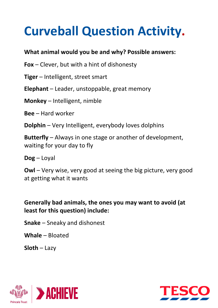## **Curveball Question Activity.**

#### **What animal would you be and why? Possible answers:**

- **Fox**  Clever, but with a hint of dishonesty
- **Tiger**  Intelligent, street smart
- **Elephant**  Leader, unstoppable, great memory
- **Monkey**  Intelligent, nimble
- **Bee**  Hard worker
- **Dolphin**  Very Intelligent, everybody loves dolphins

**Butterfly** – Always in one stage or another of development, waiting for your day to fly

**Dog** – Loyal

**Owl** – Very wise, very good at seeing the big picture, very good at getting what it wants

#### **Generally bad animals, the ones you may want to avoid (at least for this question) include:**

- **Snake**  Sneaky and dishonest
- **Whale**  Bloated
- **Sloth**  Lazy



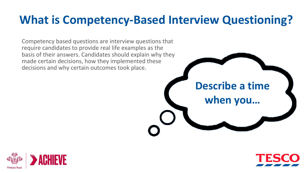### **What is Competency-Based Interview Questioning?**

Competency based questions are interview questions that require candidates to provide real life examples as the basis of their answers. Candidates should explain why they made certain decisions, how they implemented these decisions and why certain outcomes took place.





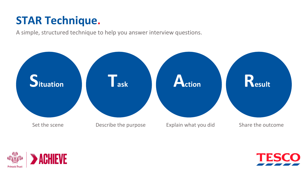### **STAR Technique.**

A simple, structured technique to help you answer interview questions.





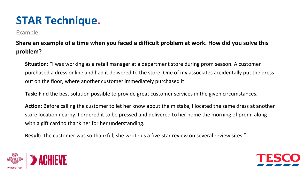### **STAR Technique.**

Example:

#### **Share an example of a time when you faced a difficult problem at work. How did you solve this problem?**

**Situation:** "I was working as a retail manager at a department store during prom season. A customer purchased a dress online and had it delivered to the store. One of my associates accidentally put the dress out on the floor, where another customer immediately purchased it.

**Task:** Find the best solution possible to provide great customer services in the given circumstances.

**Action:** Before calling the customer to let her know about the mistake, I located the same dress at another store location nearby. I ordered it to be pressed and delivered to her home the morning of prom, along with a gift card to thank her for her understanding.

**Result:** The customer was so thankful; she wrote us a five-star review on several review sites."